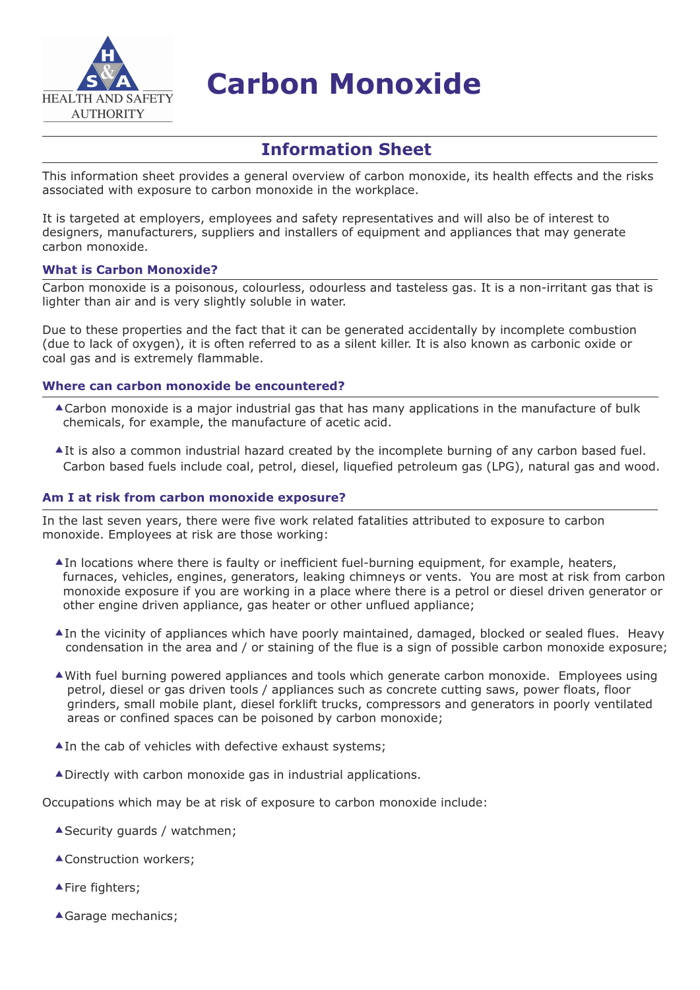

# **Carbon Monoxide**

# **Information Sheet**

This information sheet provides a general overview of carbon monoxide, its health effects and the risks associated with exposure to carbon monoxide in the workplace.

It is targeted at employers, employees and safety representatives and will also be of interest to designers, manufacturers, suppliers and installers of equipment and appliances that may generate carbon monoxide.

#### **What is Carbon Monoxide?**

Carbon monoxide is a poisonous, colourless, odourless and tasteless gas. It is a non-irritant gas that is lighter than air and is very slightly soluble in water.

Due to these properties and the fact that it can be generated accidentally by incomplete combustion (due to lack of oxygen), it is often referred to as a silent killer. It is also known as carbonic oxide or coal gas and is extremely flammable.

#### **Where can carbon monoxide be encountered?**

- Carbon monoxide is a major industrial gas that has many applications in the manufacture of bulk chemicals, for example, the manufacture of acetic acid.
- AIt is also a common industrial hazard created by the incomplete burning of any carbon based fuel. Carbon based fuels include coal, petrol, diesel, liquefied petroleum gas (LPG), natural gas and wood.

#### **Am I at risk from carbon monoxide exposure?**

In the last seven years, there were five work related fatalities attributed to exposure to carbon monoxide. Employees at risk are those working:

- $\triangle$ In locations where there is faulty or inefficient fuel-burning equipment, for example, heaters, furnaces, vehicles, engines, generators, leaking chimneys or vents. You are most at risk from carbon monoxide exposure if you are working in a place where there is a petrol or diesel driven generator or other engine driven appliance, gas heater or other unflued appliance;
- In the vicinity of appliances which have poorly maintained, damaged, blocked or sealed flues. Heavy condensation in the area and / or staining of the flue is a sign of possible carbon monoxide exposure;
- With fuel burning powered appliances and tools which generate carbon monoxide. Employees using petrol, diesel or gas driven tools / appliances such as concrete cutting saws, power floats, floor grinders, small mobile plant, diesel forklift trucks, compressors and generators in poorly ventilated areas or confined spaces can be poisoned by carbon monoxide;
- ▲ In the cab of vehicles with defective exhaust systems;
- Directly with carbon monoxide gas in industrial applications.

Occupations which may be at risk of exposure to carbon monoxide include:

- ▲ Security guards / watchmen;
- ▲ Construction workers;
- ▲ Fire fighters;
- Garage mechanics;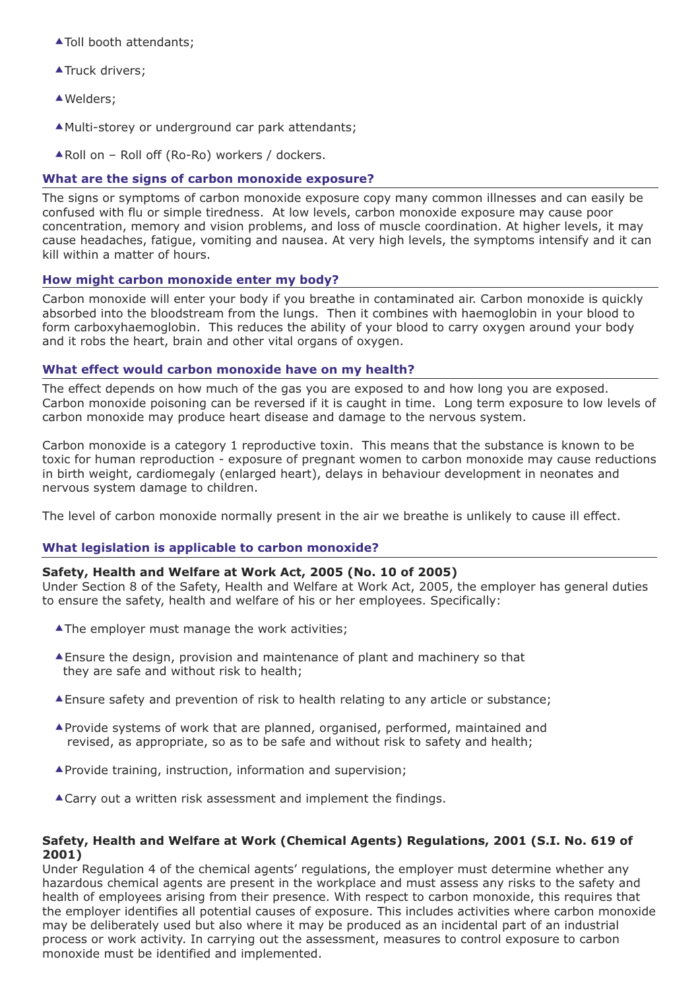- ▲ Toll booth attendants;
- **ATruck drivers;**
- ▲Welders:
- Multi-storey or underground car park attendants;
- ▲ Roll on Roll off (Ro-Ro) workers / dockers.

## **What are the signs of carbon monoxide exposure?**

The signs or symptoms of carbon monoxide exposure copy many common illnesses and can easily be confused with flu or simple tiredness. At low levels, carbon monoxide exposure may cause poor concentration, memory and vision problems, and loss of muscle coordination. At higher levels, it may cause headaches, fatigue, vomiting and nausea. At very high levels, the symptoms intensify and it can kill within a matter of hours.

#### **How might carbon monoxide enter my body?**

Carbon monoxide will enter your body if you breathe in contaminated air. Carbon monoxide is quickly absorbed into the bloodstream from the lungs. Then it combines with haemoglobin in your blood to form carboxyhaemoglobin. This reduces the ability of your blood to carry oxygen around your body and it robs the heart, brain and other vital organs of oxygen.

#### **What effect would carbon monoxide have on my health?**

The effect depends on how much of the gas you are exposed to and how long you are exposed. Carbon monoxide poisoning can be reversed if it is caught in time. Long term exposure to low levels of carbon monoxide may produce heart disease and damage to the nervous system.

Carbon monoxide is a category 1 reproductive toxin. This means that the substance is known to be toxic for human reproduction - exposure of pregnant women to carbon monoxide may cause reductions in birth weight, cardiomegaly (enlarged heart), delays in behaviour development in neonates and nervous system damage to children.

The level of carbon monoxide normally present in the air we breathe is unlikely to cause ill effect.

#### **What legislation is applicable to carbon monoxide?**

#### **Safety, Health and Welfare at Work Act, 2005 (No. 10 of 2005)**

Under Section 8 of the Safety, Health and Welfare at Work Act, 2005, the employer has general duties to ensure the safety, health and welfare of his or her employees. Specifically:

- **AThe employer must manage the work activities;**
- Ensure the design, provision and maintenance of plant and machinery so that they are safe and without risk to health;
- Ensure safety and prevention of risk to health relating to any article or substance;
- Provide systems of work that are planned, organised, performed, maintained and revised, as appropriate, so as to be safe and without risk to safety and health;
- Provide training, instruction, information and supervision;
- ▲ Carry out a written risk assessment and implement the findings.

#### **Safety, Health and Welfare at Work (Chemical Agents) Regulations, 2001 (S.I. No. 619 of 2001)**

Under Regulation 4 of the chemical agents' regulations, the employer must determine whether any hazardous chemical agents are present in the workplace and must assess any risks to the safety and health of employees arising from their presence. With respect to carbon monoxide, this requires that the employer identifies all potential causes of exposure. This includes activities where carbon monoxide may be deliberately used but also where it may be produced as an incidental part of an industrial process or work activity. In carrying out the assessment, measures to control exposure to carbon monoxide must be identified and implemented.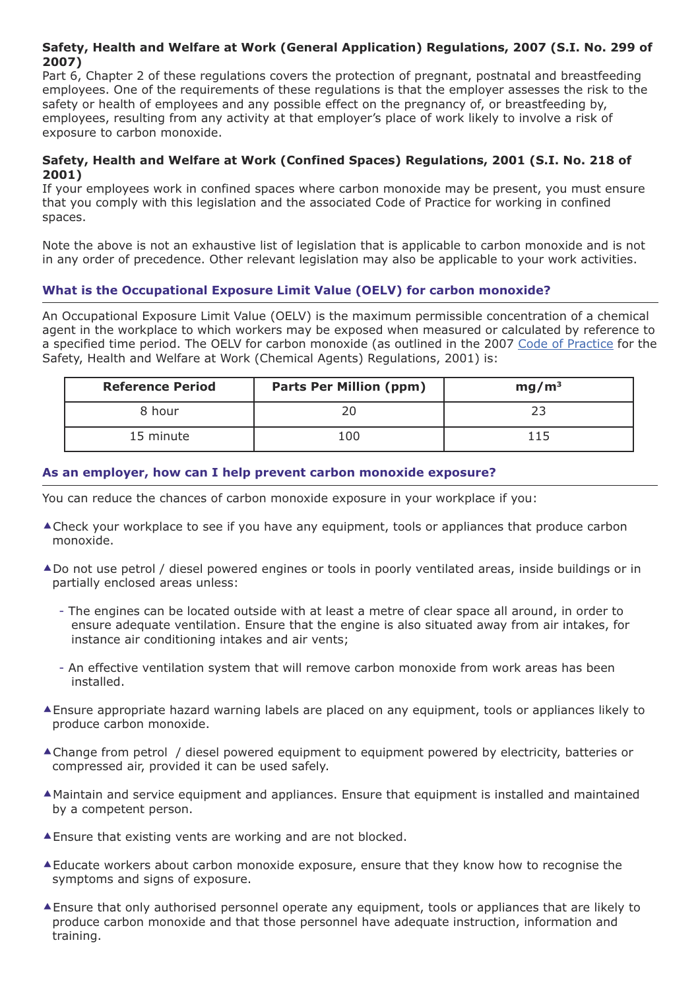# **Safety, Health and Welfare at Work (General Application) Regulations, 2007 (S.I. No. 299 of 2007)**

Part 6, Chapter 2 of these regulations covers the protection of pregnant, postnatal and breastfeeding employees. One of the requirements of these regulations is that the employer assesses the risk to the safety or health of employees and any possible effect on the pregnancy of, or breastfeeding by, employees, resulting from any activity at that employer's place of work likely to involve a risk of exposure to carbon monoxide.

## **Safety, Health and Welfare at Work (Confined Spaces) Regulations, 2001 (S.I. No. 218 of 2001)**

If your employees work in confined spaces where carbon monoxide may be present, you must ensure that you comply with this legislation and the associated Code of Practice for working in confined spaces.

Note the above is not an exhaustive list of legislation that is applicable to carbon monoxide and is not in any order of precedence. Other relevant legislation may also be applicable to your work activities.

# **What is the Occupational Exposure Limit Value (OELV) for carbon monoxide?**

An Occupational Exposure Limit Value (OELV) is the maximum permissible concentration of a chemical agent in the workplace to which workers may be exposed when measured or calculated by reference to a specified time period. The OELV for carbon monoxide (as outlined in the 2007 Code of [Practice](http://publications.hsa.ie/index.asp?locID=7&docID=236) for the Safety, Health and Welfare at Work (Chemical Agents) Regulations, 2001) is:

| <b>Reference Period</b> | <b>Parts Per Million (ppm)</b> | mg/m <sup>3</sup> |
|-------------------------|--------------------------------|-------------------|
| 8 hour                  |                                |                   |
| 15 minute               | 100                            | 115               |

# **As an employer, how can I help prevent carbon monoxide exposure?**

You can reduce the chances of carbon monoxide exposure in your workplace if you:

- **▲ Check your workplace to see if you have any equipment, tools or appliances that produce carbon** monoxide.
- ▲Do not use petrol / diesel powered engines or tools in poorly ventilated areas, inside buildings or in partially enclosed areas unless:
	- The engines can be located outside with at least a metre of clear space all around, in order to ensure adequate ventilation. Ensure that the engine is also situated away from air intakes, for instance air conditioning intakes and air vents;
	- An effective ventilation system that will remove carbon monoxide from work areas has been installed.
- Ensure appropriate hazard warning labels are placed on any equipment, tools or appliances likely to produce carbon monoxide.
- Change from petrol / diesel powered equipment to equipment powered by electricity, batteries or compressed air, provided it can be used safely.
- Maintain and service equipment and appliances. Ensure that equipment is installed and maintained by a competent person.
- Ensure that existing vents are working and are not blocked.
- Educate workers about carbon monoxide exposure, ensure that they know how to recognise the symptoms and signs of exposure.
- Ensure that only authorised personnel operate any equipment, tools or appliances that are likely to produce carbon monoxide and that those personnel have adequate instruction, information and training.